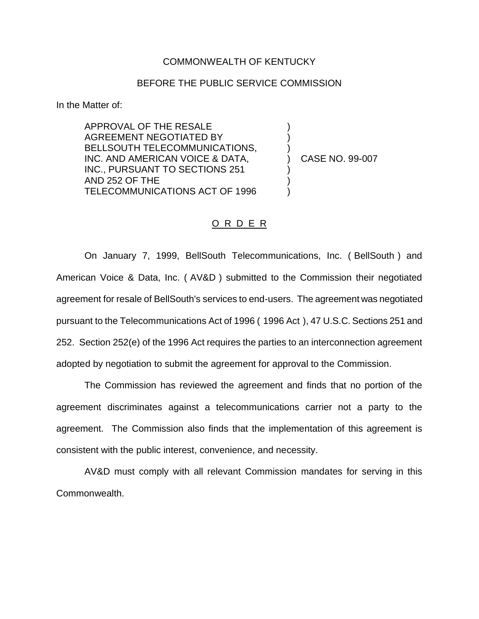## COMMONWEALTH OF KENTUCKY

## BEFORE THE PUBLIC SERVICE COMMISSION

In the Matter of:

APPROVAL OF THE RESALE AGREEMENT NEGOTIATED BY BELLSOUTH TELECOMMUNICATIONS, INC. AND AMERICAN VOICE & DATA, INC., PURSUANT TO SECTIONS 251 AND 252 OF THE TELECOMMUNICATIONS ACT OF 1996

) CASE NO. 99-007

) ) )

) ) )

## O R D E R

On January 7, 1999, BellSouth Telecommunications, Inc. ( BellSouth ) and American Voice & Data, Inc. ( AV&D ) submitted to the Commission their negotiated agreement for resale of BellSouth's services to end-users. The agreement was negotiated pursuant to the Telecommunications Act of 1996 ( 1996 Act ), 47 U.S.C. Sections 251 and 252. Section 252(e) of the 1996 Act requires the parties to an interconnection agreement adopted by negotiation to submit the agreement for approval to the Commission.

The Commission has reviewed the agreement and finds that no portion of the agreement discriminates against a telecommunications carrier not a party to the agreement. The Commission also finds that the implementation of this agreement is consistent with the public interest, convenience, and necessity.

AV&D must comply with all relevant Commission mandates for serving in this Commonwealth.